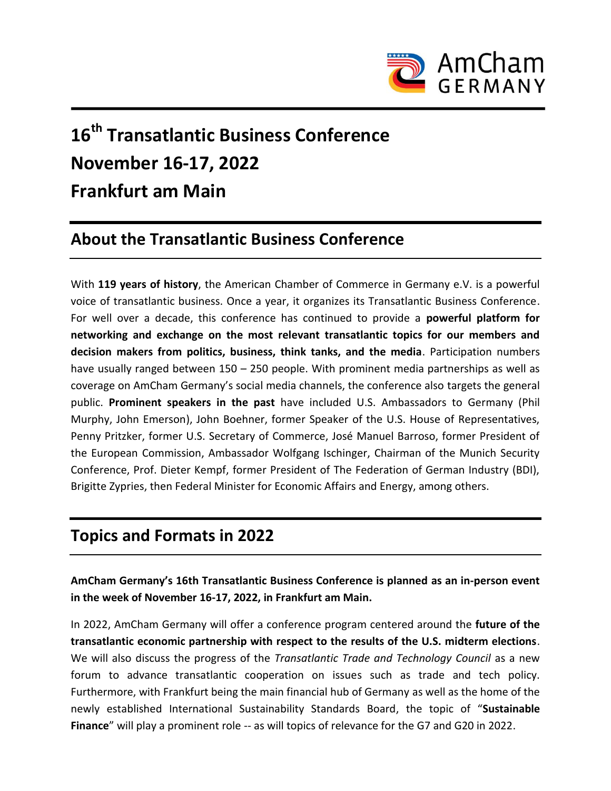

# **16 th Transatlantic Business Conference November 16-17, 2022 Frankfurt am Main**

# **About the Transatlantic Business Conference**

With **119 years of history**, the American Chamber of Commerce in Germany e.V. is a powerful voice of transatlantic business. Once a year, it organizes its Transatlantic Business Conference. For well over a decade, this conference has continued to provide a **powerful platform for networking and exchange on the most relevant transatlantic topics for our members and decision makers from politics, business, think tanks, and the media**. Participation numbers have usually ranged between 150 – 250 people. With prominent media partnerships as well as coverage on AmCham Germany's social media channels, the conference also targets the general public. **Prominent speakers in the past** have included U.S. Ambassadors to Germany (Phil Murphy, John Emerson), John Boehner, former Speaker of the U.S. House of Representatives, Penny Pritzker, former U.S. Secretary of Commerce, José Manuel Barroso, former President of the European Commission, Ambassador Wolfgang Ischinger, Chairman of the Munich Security Conference, Prof. Dieter Kempf, former President of The Federation of German Industry (BDI), Brigitte Zypries, then Federal Minister for Economic Affairs and Energy, among others.

#### **Topics and Formats in 2022**

**AmCham Germany's 16th Transatlantic Business Conference is planned as an in-person event in the week of November 16-17, 2022, in Frankfurt am Main.**

In 2022, AmCham Germany will offer a conference program centered around the **future of the transatlantic economic partnership with respect to the results of the U.S. midterm elections**. We will also discuss the progress of the *Transatlantic Trade and Technology Council* as a new forum to advance transatlantic cooperation on issues such as trade and tech policy. Furthermore, with Frankfurt being the main financial hub of Germany as well as the home of the newly established International Sustainability Standards Board, the topic of "**Sustainable Finance**" will play a prominent role -- as will topics of relevance for the G7 and G20 in 2022.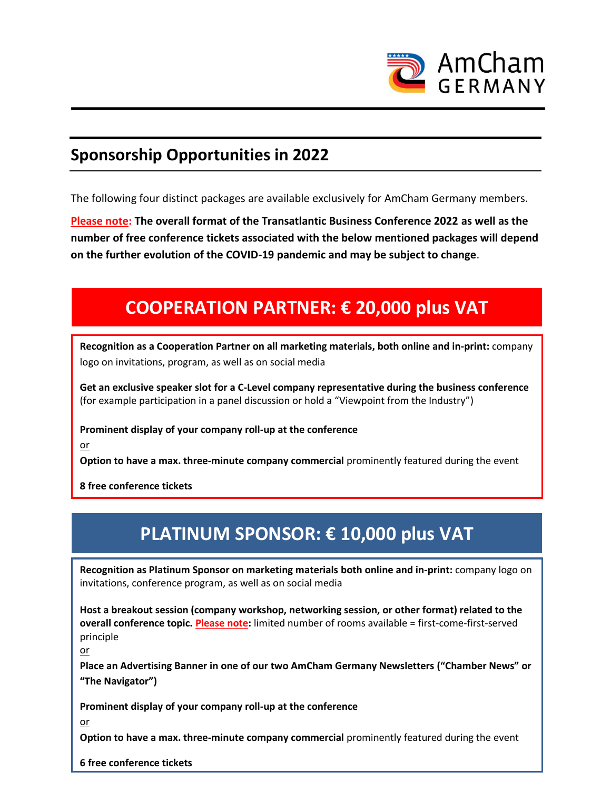

#### **Sponsorship Opportunities in 2022**

The following four distinct packages are available exclusively for AmCham Germany members.

**Please note: The overall format of the Transatlantic Business Conference 2022 as well as the number of free conference tickets associated with the below mentioned packages will depend on the further evolution of the COVID-19 pandemic and may be subject to change**.

# **COOPERATION PARTNER: € 20,000 plus VAT**

**Recognition as a Cooperation Partner on all marketing materials, both online and in-print:** company logo on invitations, program, as well as on social media

**Get an exclusive speaker slot for a C-Level company representative during the business conference** (for example participation in a panel discussion or hold a "Viewpoint from the Industry")

**Prominent display of your company roll-up at the conference**

or

**Option to have a max. three-minute company commercial** prominently featured during the event

**8 free conference tickets**

# **PLATINUM SPONSOR: € 10,000 plus VAT**

**Recognition as Platinum Sponsor on marketing materials both online and in-print:** company logo on invitations, conference program, as well as on social media

**Host a breakout session (company workshop, networking session, or other format) related to the overall conference topic. Please note:** limited number of rooms available = first-come-first-served principle

or

**Place an Advertising Banner in one of our two AmCham Germany Newsletters ("Chamber News" or "The Navigator")**

**Prominent display of your company roll-up at the conference**

or

**Option to have a max. three-minute company commercial** prominently featured during the event

**6 free conference tickets**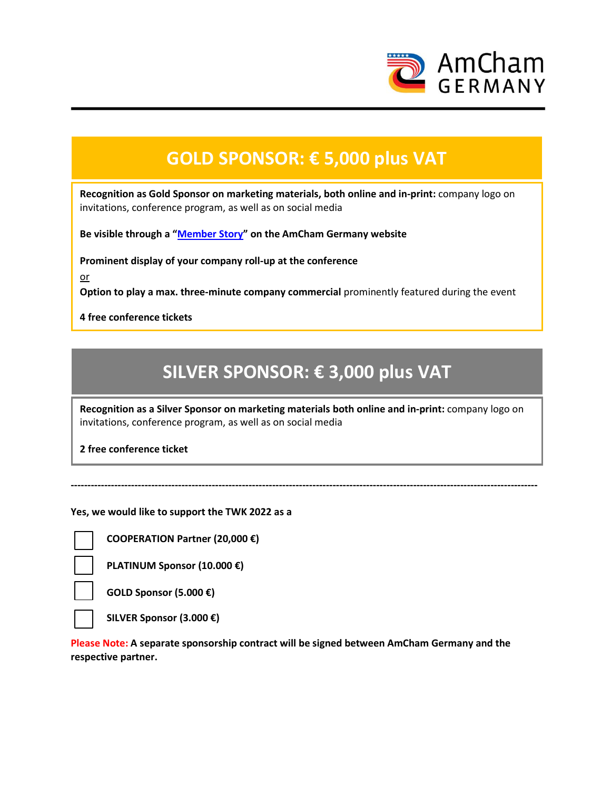

### **GOLD SPONSOR: € 5,000 plus VAT**

**Recognition as Gold Sponsor on marketing materials, both online and in-print:** company logo on invitations, conference program, as well as on social media

**Be visible through a "[Member Story](https://www.amcham.de/membership/member-stories)" on the AmCham Germany website**

**Prominent display of your company roll-up at the conference**

or

**Option to play a max. three-minute company commercial** prominently featured during the event

**4 free conference tickets** 

### **SILVER SPONSOR: € 3,000 plus VAT**

**Recognition as a Silver Sponsor on marketing materials both online and in-print:** company logo on invitations, conference program, as well as on social media

**-------------------------------------------------------------------------------------------------------------------------------------------**

**2** free conference ticket **a** 

**Yes, we would like to support the TWK 2022 as a**

**COOPERATION Partner (20,000 €)**

**PLATINUM Sponsor (10.000 €)**

**GOLD Sponsor (5.000 €)**

**SILVER Sponsor (3.000 €)**

**Please Note: A separate sponsorship contract will be signed between AmCham Germany and the respective partner.**